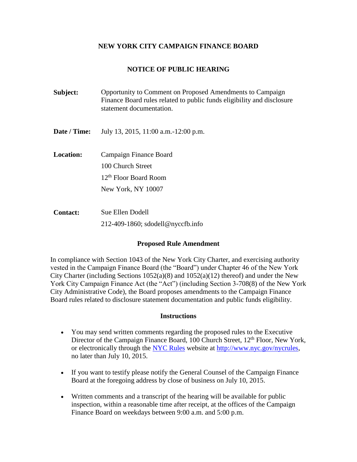## **NEW YORK CITY CAMPAIGN FINANCE BOARD**

# **NOTICE OF PUBLIC HEARING**

| Subject:         | Opportunity to Comment on Proposed Amendments to Campaign<br>Finance Board rules related to public funds eligibility and disclosure<br>statement documentation. |
|------------------|-----------------------------------------------------------------------------------------------------------------------------------------------------------------|
| Date / Time:     | July 13, 2015, 11:00 a.m. -12:00 p.m.                                                                                                                           |
| <b>Location:</b> | Campaign Finance Board<br>100 Church Street<br>12 <sup>th</sup> Floor Board Room<br>New York, NY 10007                                                          |
| <b>Contact:</b>  | Sue Ellen Dodell<br>$212-409-1860$ ; sdodell@nyccfb.info                                                                                                        |

## **Proposed Rule Amendment**

In compliance with Section 1043 of the New York City Charter, and exercising authority vested in the Campaign Finance Board (the "Board") under Chapter 46 of the New York City Charter (including Sections  $1052(a)(8)$  and  $1052(a)(12)$  thereof) and under the New York City Campaign Finance Act (the "Act") (including Section 3-708(8) of the New York City Administrative Code), the Board proposes amendments to the Campaign Finance Board rules related to disclosure statement documentation and public funds eligibility.

#### **Instructions**

- You may send written comments regarding the proposed rules to the Executive Director of the Campaign Finance Board, 100 Church Street, 12<sup>th</sup> Floor, New York, or electronically through the [NYC Rules](http://www.nyc.gov/html/nycrules/html/home/home.shtml) website at [http://www.nyc.gov/nycrules,](http://www.nyc.gov/nycrules) no later than July 10, 2015.
- If you want to testify please notify the General Counsel of the Campaign Finance Board at the foregoing address by close of business on July 10, 2015.
- Written comments and a transcript of the hearing will be available for public inspection, within a reasonable time after receipt, at the offices of the Campaign Finance Board on weekdays between 9:00 a.m. and 5:00 p.m.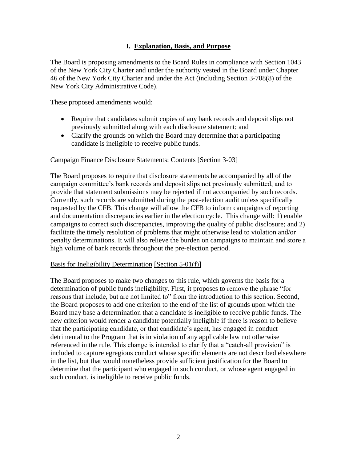# **I. Explanation, Basis, and Purpose**

The Board is proposing amendments to the Board Rules in compliance with Section 1043 of the New York City Charter and under the authority vested in the Board under Chapter 46 of the New York City Charter and under the Act (including Section 3-708(8) of the New York City Administrative Code).

These proposed amendments would:

- Require that candidates submit copies of any bank records and deposit slips not previously submitted along with each disclosure statement; and
- Clarify the grounds on which the Board may determine that a participating candidate is ineligible to receive public funds.

#### Campaign Finance Disclosure Statements: Contents [Section 3-03]

The Board proposes to require that disclosure statements be accompanied by all of the campaign committee's bank records and deposit slips not previously submitted, and to provide that statement submissions may be rejected if not accompanied by such records. Currently, such records are submitted during the post-election audit unless specifically requested by the CFB. This change will allow the CFB to inform campaigns of reporting and documentation discrepancies earlier in the election cycle. This change will: 1) enable campaigns to correct such discrepancies, improving the quality of public disclosure; and 2) facilitate the timely resolution of problems that might otherwise lead to violation and/or penalty determinations. It will also relieve the burden on campaigns to maintain and store a high volume of bank records throughout the pre-election period.

#### Basis for Ineligibility Determination [Section 5-01(f)]

The Board proposes to make two changes to this rule, which governs the basis for a determination of public funds ineligibility. First, it proposes to remove the phrase "for reasons that include, but are not limited to" from the introduction to this section. Second, the Board proposes to add one criterion to the end of the list of grounds upon which the Board may base a determination that a candidate is ineligible to receive public funds. The new criterion would render a candidate potentially ineligible if there is reason to believe that the participating candidate, or that candidate's agent, has engaged in conduct detrimental to the Program that is in violation of any applicable law not otherwise referenced in the rule. This change is intended to clarify that a "catch-all provision" is included to capture egregious conduct whose specific elements are not described elsewhere in the list, but that would nonetheless provide sufficient justification for the Board to determine that the participant who engaged in such conduct, or whose agent engaged in such conduct, is ineligible to receive public funds.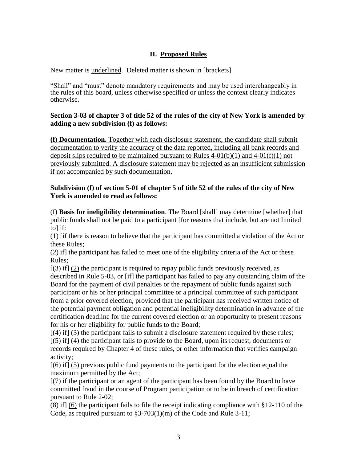# **II. Proposed Rules**

New matter is underlined. Deleted matter is shown in [brackets].

"Shall" and "must" denote mandatory requirements and may be used interchangeably in the rules of this board, unless otherwise specified or unless the context clearly indicates otherwise.

# **Section 3-03 of chapter 3 of title 52 of the rules of the city of New York is amended by adding a new subdivision (f) as follows:**

**(f) Documentation.** Together with each disclosure statement, the candidate shall submit documentation to verify the accuracy of the data reported, including all bank records and deposit slips required to be maintained pursuant to Rules  $4-01(b)(1)$  and  $4-01(f)(1)$  not previously submitted. A disclosure statement may be rejected as an insufficient submission if not accompanied by such documentation.

# **Subdivision (f) of section 5-01 of chapter 5 of title 52 of the rules of the city of New York is amended to read as follows:**

(f) **Basis for ineligibility determination**. The Board [shall] may determine [whether] that public funds shall not be paid to a participant [for reasons that include, but are not limited to] if:

(1) [if there is reason to believe that the participant has committed a violation of the Act or these Rules;

(2) if] the participant has failed to meet one of the eligibility criteria of the Act or these Rules;

 $[(3)$  if  $](2)$  the participant is required to repay public funds previously received, as described in Rule 5-03, or [if] the participant has failed to pay any outstanding claim of the Board for the payment of civil penalties or the repayment of public funds against such participant or his or her principal committee or a principal committee of such participant from a prior covered election, provided that the participant has received written notice of the potential payment obligation and potential ineligibility determination in advance of the certification deadline for the current covered election or an opportunity to present reasons for his or her eligibility for public funds to the Board;

 $\left[\right(4)$  if  $\left[\right(3)$  the participant fails to submit a disclosure statement required by these rules;

[(5) if] (4) the participant fails to provide to the Board, upon its request, documents or records required by Chapter 4 of these rules, or other information that verifies campaign activity;

[(6) if] (5) previous public fund payments to the participant for the election equal the maximum permitted by the Act;

[(7) if the participant or an agent of the participant has been found by the Board to have committed fraud in the course of Program participation or to be in breach of certification pursuant to Rule 2-02;

(8) if] (6) the participant fails to file the receipt indicating compliance with §12-110 of the Code, as required pursuant to §3-703(1)(m) of the Code and Rule 3-11;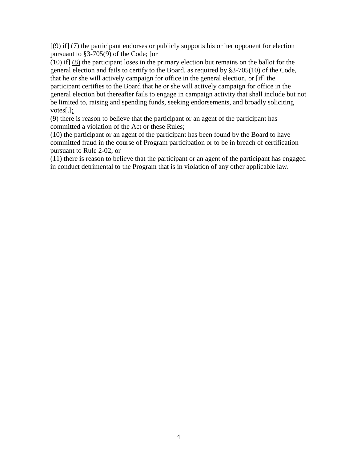[(9) if] (7) the participant endorses or publicly supports his or her opponent for election pursuant to §3-705(9) of the Code; [or

(10) if] (8) the participant loses in the primary election but remains on the ballot for the general election and fails to certify to the Board, as required by §3-705(10) of the Code, that he or she will actively campaign for office in the general election, or [if] the participant certifies to the Board that he or she will actively campaign for office in the general election but thereafter fails to engage in campaign activity that shall include but not be limited to, raising and spending funds, seeking endorsements, and broadly soliciting votes[.];

(9) there is reason to believe that the participant or an agent of the participant has committed a violation of the Act or these Rules;

(10) the participant or an agent of the participant has been found by the Board to have committed fraud in the course of Program participation or to be in breach of certification pursuant to Rule 2-02; or

(11) there is reason to believe that the participant or an agent of the participant has engaged in conduct detrimental to the Program that is in violation of any other applicable law.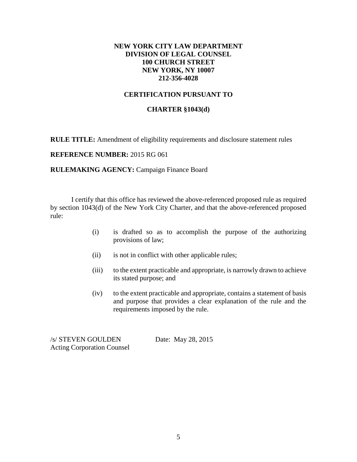# **NEW YORK CITY LAW DEPARTMENT DIVISION OF LEGAL COUNSEL 100 CHURCH STREET NEW YORK, NY 10007 212-356-4028**

# **CERTIFICATION PURSUANT TO**

## **CHARTER §1043(d)**

**RULE TITLE:** Amendment of eligibility requirements and disclosure statement rules

**REFERENCE NUMBER:** 2015 RG 061

**RULEMAKING AGENCY: Campaign Finance Board** 

I certify that this office has reviewed the above-referenced proposed rule as required by section 1043(d) of the New York City Charter, and that the above-referenced proposed rule:

- (i) is drafted so as to accomplish the purpose of the authorizing provisions of law;
- (ii) is not in conflict with other applicable rules;
- (iii) to the extent practicable and appropriate, is narrowly drawn to achieve its stated purpose; and
- (iv) to the extent practicable and appropriate, contains a statement of basis and purpose that provides a clear explanation of the rule and the requirements imposed by the rule.

/s/ STEVEN GOULDEN Date: May 28, 2015 Acting Corporation Counsel